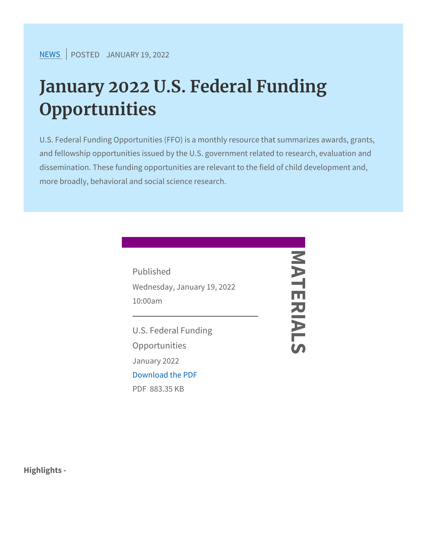## January 2022 U.S. Federal Fund Opportunities

U.S. Federal Funding Opportunities (FFO) is a monthly resource and fellowship opportunities issued by the U.S. government relat dissemination. These funding opportunities are relevant to the fi more broadly, behavioral and social science research.

| Published                   |  |
|-----------------------------|--|
| Wednesday, January 19, 2022 |  |
| $10:00a$ m                  |  |
| U.S. Federal Funding        |  |
| Opportunities               |  |
| January 2022                |  |
| Download the PDF            |  |
| PDB83.35 KB                 |  |
|                             |  |

**Highlights**